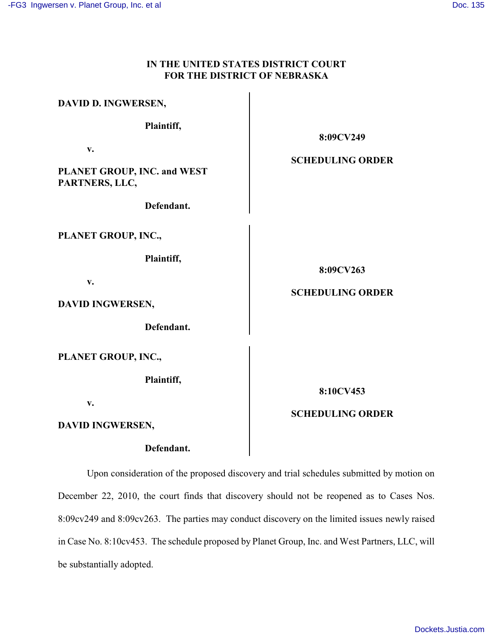## **IN THE UNITED STATES DISTRICT COURT FOR THE DISTRICT OF NEBRASKA**

| DAVID D. INGWERSEN,                                                       |                                      |
|---------------------------------------------------------------------------|--------------------------------------|
| Plaintiff,                                                                | 8:09CV249                            |
| v.<br>PLANET GROUP, INC. and WEST<br>PARTNERS, LLC,<br>Defendant.         | <b>SCHEDULING ORDER</b>              |
| PLANET GROUP, INC.,<br>Plaintiff,<br>v.<br>DAVID INGWERSEN,<br>Defendant. | 8:09CV263<br><b>SCHEDULING ORDER</b> |
| PLANET GROUP, INC.,<br>Plaintiff,<br>v.                                   | 8:10CV453<br><b>SCHEDULING ORDER</b> |
| DAVID INGWERSEN,                                                          |                                      |

**Defendant.**

Upon consideration of the proposed discovery and trial schedules submitted by motion on December 22, 2010, the court finds that discovery should not be reopened as to Cases Nos. 8:09cv249 and 8:09cv263. The parties may conduct discovery on the limited issues newly raised in Case No. 8:10cv453. The schedule proposed by Planet Group, Inc. and West Partners, LLC, will be substantially adopted.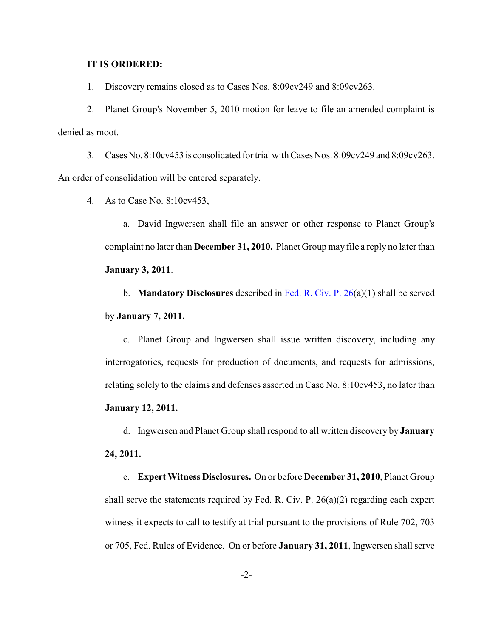## **IT IS ORDERED:**

1. Discovery remains closed as to Cases Nos. 8:09cv249 and 8:09cv263.

2. Planet Group's November 5, 2010 motion for leave to file an amended complaint is denied as moot.

3. Cases No. 8:10cv453 is consolidated for trial with Cases Nos. 8:09cv249 and 8:09cv263. An order of consolidation will be entered separately.

4. As to Case No. 8:10cv453,

a. David Ingwersen shall file an answer or other response to Planet Group's complaint no later than **December 31, 2010.** Planet Group may file a reply no later than **January 3, 2011**.

b. **Mandatory Disclosures** described in [Fed. R. Civ. P. 26](http://www.law.cornell.edu/rules/frcp/Rule26.htm)(a)(1) shall be served by **January 7, 2011.**

c. Planet Group and Ingwersen shall issue written discovery, including any interrogatories, requests for production of documents, and requests for admissions, relating solely to the claims and defenses asserted in Case No. 8:10cv453, no later than **January 12, 2011.**

d. Ingwersen and Planet Group shall respond to all written discovery by **January 24, 2011.**

e. **Expert Witness Disclosures.** On or before **December 31, 2010**, Planet Group shall serve the statements required by Fed. R. Civ. P. 26(a)(2) regarding each expert witness it expects to call to testify at trial pursuant to the provisions of Rule 702, 703 or 705, Fed. Rules of Evidence. On or before **January 31, 2011**, Ingwersen shall serve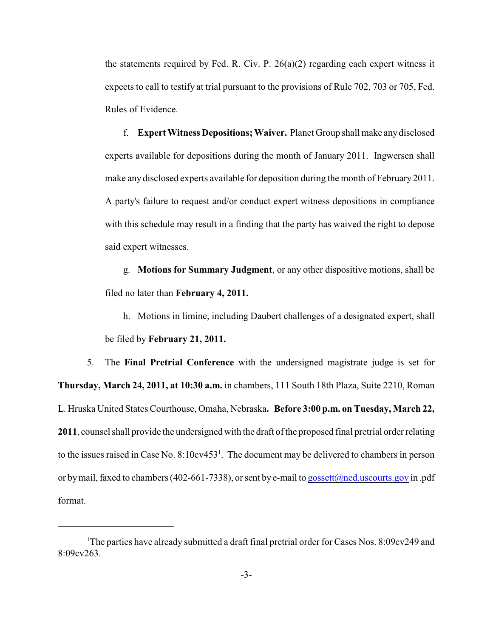the statements required by Fed. R. Civ. P.  $26(a)(2)$  regarding each expert witness it expects to call to testify at trial pursuant to the provisions of Rule 702, 703 or 705, Fed. Rules of Evidence.

f. **Expert Witness Depositions; Waiver.** Planet Group shall make any disclosed experts available for depositions during the month of January 2011. Ingwersen shall make any disclosed experts available for deposition during the month of February 2011. A party's failure to request and/or conduct expert witness depositions in compliance with this schedule may result in a finding that the party has waived the right to depose said expert witnesses.

g. **Motions for Summary Judgment**, or any other dispositive motions, shall be filed no later than **February 4, 2011.**

h. Motions in limine, including Daubert challenges of a designated expert, shall be filed by **February 21, 2011.**

5. The **Final Pretrial Conference** with the undersigned magistrate judge is set for **Thursday, March 24, 2011, at 10:30 a.m.** in chambers, 111 South 18th Plaza, Suite 2210, Roman L. Hruska United States Courthouse, Omaha, Nebraska**. Before 3:00 p.m. on Tuesday, March 22, 2011**, counsel shall provide the undersigned with the draft of the proposed final pretrial order relating to the issues raised in Case No.  $8:10cv453<sup>1</sup>$ . The document may be delivered to chambers in person or by mail, faxed to chambers (402-661-7338), or sent by e-mail to [gossett@ned.uscourts.gov](mailto:gossett@ned.uscourts.gov) in .pdf format.

<sup>&</sup>lt;sup>1</sup>The parties have already submitted a draft final pretrial order for Cases Nos. 8:09cv249 and 8:09cv263.